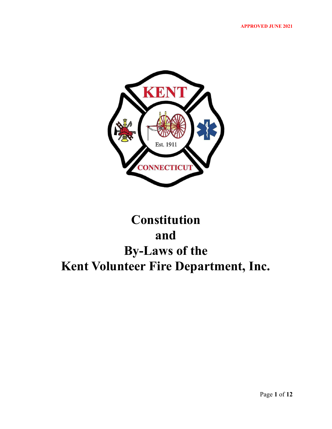

# **Constitution and By-Laws of the Kent Volunteer Fire Department, Inc.**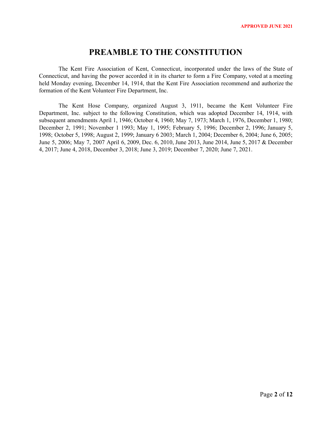# **PREAMBLE TO THE CONSTITUTION**

The Kent Fire Association of Kent, Connecticut, incorporated under the laws of the State of Connecticut, and having the power accorded it in its charter to form a Fire Company, voted at a meeting held Monday evening, December 14, 1914, that the Kent Fire Association recommend and authorize the formation of the Kent Volunteer Fire Department, Inc.

The Kent Hose Company, organized August 3, 1911, became the Kent Volunteer Fire Department, Inc. subject to the following Constitution, which was adopted December 14, 1914, with subsequent amendments April 1, 1946; October 4, 1960; May 7, 1973; March 1, 1976, December 1, 1980; December 2, 1991; November 1 1993; May 1, 1995; February 5, 1996; December 2, 1996; January 5, 1998; October 5, 1998; August 2, 1999; January 6 2003; March 1, 2004; December 6, 2004; June 6, 2005; June 5, 2006; May 7, 2007 April 6, 2009, Dec. 6, 2010, June 2013, June 2014, June 5, 2017 & December 4, 2017; June 4, 2018, December 3, 2018; June 3, 2019; December 7, 2020; June 7, 2021.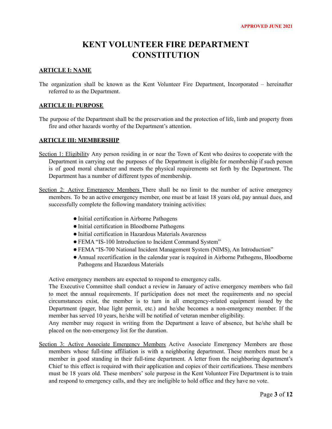# **KENT VOLUNTEER FIRE DEPARTMENT CONSTITUTION**

# **ARTICLE I: NAME**

The organization shall be known as the Kent Volunteer Fire Department, Incorporated – hereinafter referred to as the Department.

# **ARTICLE II: PURPOSE**

The purpose of the Department shall be the preservation and the protection of life, limb and property from fire and other hazards worthy of the Department's attention.

# **ARTICLE III: MEMBERSHIP**

- Section 1: Eligibility Any person residing in or near the Town of Kent who desires to cooperate with the Department in carrying out the purposes of the Department is eligible for membership if such person is of good moral character and meets the physical requirements set forth by the Department. The Department has a number of different types of membership.
- Section 2: Active Emergency Members There shall be no limit to the number of active emergency members. To be an active emergency member, one must be at least 18 years old, pay annual dues, and successfully complete the following mandatory training activities:
	- ●Initial certification in Airborne Pathogens
	- ●Initial certification in Bloodborne Pathogens
	- ●Initial certification in Hazardous Materials Awareness
	- ●FEMA "IS-100 Introduction to Incident Command System"
	- ●FEMA "IS-700 National Incident Management System (NIMS), An Introduction"
	- Annual recertification in the calendar year is required in Airborne Pathogens, Bloodborne Pathogens and Hazardous Materials

Active emergency members are expected to respond to emergency calls.

The Executive Committee shall conduct a review in January of active emergency members who fail to meet the annual requirements. If participation does not meet the requirements and no special circumstances exist, the member is to turn in all emergency-related equipment issued by the Department (pager, blue light permit, etc.) and he/she becomes a non-emergency member. If the member has served 10 years, he/she will be notified of veteran member eligibility.

Any member may request in writing from the Department a leave of absence, but he/she shall be placed on the non-emergency list for the duration.

Section 3: Active Associate Emergency Members Active Associate Emergency Members are those members whose full-time affiliation is with a neighboring department. These members must be a member in good standing in their full-time department. A letter from the neighboring department's Chief to this effect is required with their application and copies of their certifications. These members must be 18 years old. These members' sole purpose in the Kent Volunteer Fire Department is to train and respond to emergency calls, and they are ineligible to hold office and they have no vote.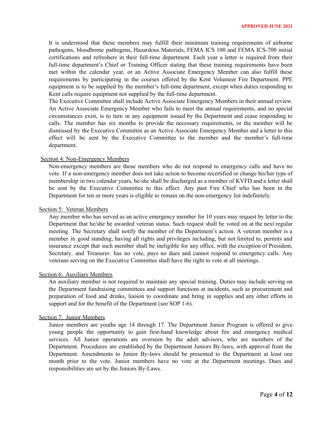It is understood that these members may fulfill their minimum training requirements of airborne pathogens, bloodborne pathogens, Hazardous Materials, FEMA ICS 100 and FEMA ICS-700 initial certifications and refreshers in their full-time department. Each year a letter is required from their full-time department's Chief or Training Officer stating that these training requirements have been met within the calendar year, or an Active Associate Emergency Member can also fulfill these requirements by participating in the courses offered by the Kent Volunteer Fire Department. PPE equipment is to be supplied by the member's full-time department, except when duties responding to Kent calls require equipment not supplied by the full-time department.

The Executive Committee shall include Active Associate Emergency Members in their annual review. An Active Associate Emergency Member who fails to meet the annual requirements, and no special circumstances exist, is to turn in any equipment issued by the Department and cease responding to calls. The member has six months to provide the necessary requirements, or the member will be dismissed by the Executive Committee as an Active Associate Emergency Member and a letter to this effect will be sent by the Executive Committee to the member and the member's full-time department.

#### Section 4: Non-Emergency Members

Non-emergency members are those members who do not respond to emergency calls and have no vote. If a non-emergency member does not take action to become recertified or change his/her type of membership in two calendar years, he/she shall be discharged as a member of KVFD and a letter shall be sent by the Executive Committee to this effect. Any past Fire Chief who has been in the Department for ten or more years is eligible to remain on the non-emergency list indefinitely.

## Section 5: Veteran Members

Any member who has served as an active emergency member for 10 years may request by letter to the Department that he/she be awarded veteran status. Such request shall be voted on at the next regular meeting. The Secretary shall notify the member of the Department's action. A veteran member is a member in good standing, having all rights and privileges including, but not limited to, permits and insurance except that such member shall be ineligible for any office, with the exception of President, Secretary, and Treasurer, has no vote, pays no dues and cannot respond to emergency calls. Any veterans serving on the Executive Committee shall have the right to vote at all meetings.

### Section 6: Auxiliary Members

An auxiliary member is not required to maintain any special training. Duties may include serving on the Department fundraising committees and support functions at incidents, such as procurement and preparation of food and drinks, liaison to coordinate and bring in supplies and any other efforts in support and for the benefit of the Department (see SOP 1-6).

## Section 7: Junior Members

Junior members are youths age 14 through 17. The Department Junior Program is offered to give young people the opportunity to gain first-hand knowledge about fire and emergency medical services. All Junior operations are overseen by the adult advisors, who are members of the Department. Procedures are established by the Department Juniors By-laws, with approval from the Department. Amendments to Junior By-laws should be presented to the Department at least one month prior to the vote. Junior members have no vote at the Department meetings. Dues and responsibilities are set by the Juniors By-Laws.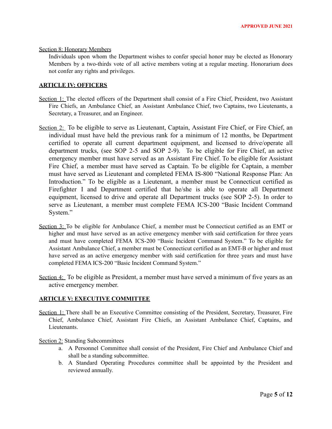#### Section 8: Honorary Members

Individuals upon whom the Department wishes to confer special honor may be elected as Honorary Members by a two-thirds vote of all active members voting at a regular meeting. Honorarium does not confer any rights and privileges.

# **ARTICLE IV: OFFICERS**

- Section 1: The elected officers of the Department shall consist of a Fire Chief, President, two Assistant Fire Chiefs, an Ambulance Chief, an Assistant Ambulance Chief, two Captains, two Lieutenants, a Secretary, a Treasurer, and an Engineer.
- Section 2: To be eligible to serve as Lieutenant, Captain, Assistant Fire Chief, or Fire Chief, an individual must have held the previous rank for a minimum of 12 months, be Department certified to operate all current department equipment, and licensed to drive/operate all department trucks, (see SOP 2-5 and SOP 2-9). To be eligible for Fire Chief, an active emergency member must have served as an Assistant Fire Chief. To be eligible for Assistant Fire Chief, a member must have served as Captain. To be eligible for Captain, a member must have served as Lieutenant and completed FEMA IS-800 "National Response Plan: An Introduction." To be eligible as a Lieutenant, a member must be Connecticut certified as Firefighter I and Department certified that he/she is able to operate all Department equipment, licensed to drive and operate all Department trucks (see SOP 2-5). In order to serve as Lieutenant, a member must complete FEMA ICS-200 "Basic Incident Command System."
- Section 3: To be eligible for Ambulance Chief, a member must be Connecticut certified as an EMT or higher and must have served as an active emergency member with said certification for three years and must have completed FEMA ICS-200 "Basic Incident Command System." To be eligible for Assistant Ambulance Chief, a member must be Connecticut certified as an EMT-B or higher and must have served as an active emergency member with said certification for three years and must have completed FEMA ICS-200 "Basic Incident Command System."
- Section 4: To be eligible as President, a member must have served a minimum of five years as an active emergency member.

### **ARTICLE V: EXECUTIVE COMMITTEE**

Section 1: There shall be an Executive Committee consisting of the President, Secretary, Treasurer, Fire Chief, Ambulance Chief, Assistant Fire Chiefs, an Assistant Ambulance Chief, Captains, and Lieutenants.

# Section 2: Standing Subcommittees

- a. A Personnel Committee shall consist of the President, Fire Chief and Ambulance Chief and shall be a standing subcommittee.
- b. A Standard Operating Procedures committee shall be appointed by the President and reviewed annually.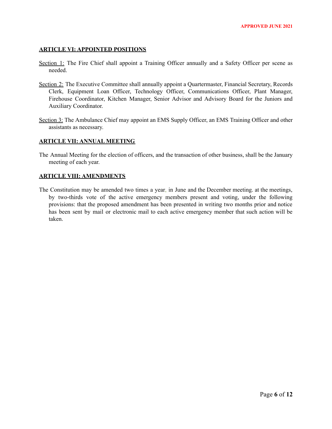## **ARTICLE VI: APPOINTED POSITIONS**

- Section 1: The Fire Chief shall appoint a Training Officer annually and a Safety Officer per scene as needed.
- Section 2: The Executive Committee shall annually appoint a Quartermaster, Financial Secretary, Records Clerk, Equipment Loan Officer, Technology Officer, Communications Officer, Plant Manager, Firehouse Coordinator, Kitchen Manager, Senior Advisor and Advisory Board for the Juniors and Auxiliary Coordinator.
- Section 3: The Ambulance Chief may appoint an EMS Supply Officer, an EMS Training Officer and other assistants as necessary.

# **ARTICLE VII: ANNUAL MEETING**

The Annual Meeting for the election of officers, and the transaction of other business, shall be the January meeting of each year.

### **ARTICLE VIII: AMENDMENTS**

The Constitution may be amended two times a year, in June and the December meeting. at the meetings, by two-thirds vote of the active emergency members present and voting, under the following provisions: that the proposed amendment has been presented in writing two months prior and notice has been sent by mail or electronic mail to each active emergency member that such action will be taken.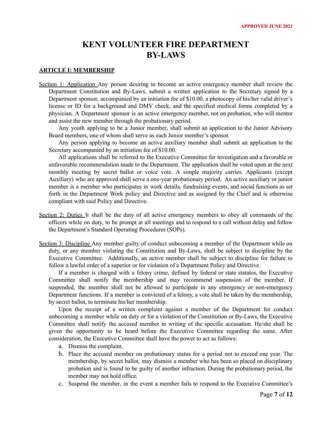# **KENT VOLUNTEER FIRE DEPARTMENT BY-LAWS**

### **ARTICLE I: MEMBERSHIP**

Section 1: Application Any person desiring to become an active emergency member shall review the Department Constitution and By-Laws, submit a written application to the Secretary signed by a Department sponsor, accompanied by an initiation fee of \$10.00, a photocopy of his/her valid driver's license or ID for a background and DMV check, and the specified medical forms completed by a physician. A Department sponsor is an active emergency member, not on probation, who will mentor and assist the new member through the probationary period.

Any youth applying to be a Junior member, shall submit an application to the Junior Advisory Board members, one of whom shall serve as each Junior member's sponsor.

Any person applying to become an active auxiliary member shall submit an application to the Secretary accompanied by an initiation fee of \$10.00.

All applications shall be referred to the Executive Committee for investigation and a favorable or unfavorable recommendation made to the Department. The application shall be voted upon at the next monthly meeting by secret ballot or voice vote. A simple majority carries. Applicants (except Auxiliary) who are approved shall serve a one-year probationary period. An active auxiliary or junior member is a member who participates in work details, fundraising events, and social functions as set forth in the Department Work policy and Directive and as assigned by the Chief and is otherwise compliant with said Policy and Directive.

- Section 2: Duties It shall be the duty of all active emergency members to obey all commands of the officers while on duty, to be prompt at all meetings and to respond to a call without delay and follow the Department's Standard Operating Procedures (SOPs).
- Section 3: Discipline Any member guilty of conduct unbecoming a member of the Department while on duty, or any member violating the Constitution and By-Laws, shall be subject to discipline by the Executive Committee. Additionally, an active member shall be subject to discipline for failure to follow a lawful order of a superior or for violation of a Department Policy and Directive.

If a member is charged with a felony crime, defined by federal or state statutes, the Executive Committee shall notify the membership and may recommend suspension of the member. If suspended, the member shall not be allowed to participate in any emergency or non-emergency Department functions. If a member is convicted of a felony, a vote shall be taken by the membership, by secret ballot, to terminate his/her membership.

Upon the receipt of a written complaint against a member of the Department for conduct unbecoming a member while on duty or for a violation of the Constitution or By-Laws, the Executive Committee shall notify the accused member in writing of the specific accusation. He/she shall be given the opportunity to be heard before the Executive Committee regarding the same. After consideration, the Executive Committee shall have the power to act as follows:

- a. Dismiss the complaint.
- b. Place the accused member on probationary status for a period not to exceed one year. The membership, by secret ballot, may dismiss a member who has been so placed on disciplinary probation and is found to be guilty of another infraction. During the probationary period, the member may not hold office.
- c. Suspend the member, in the event a member fails to respond to the Executive Committee's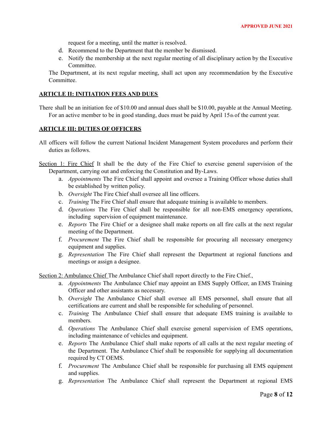request for a meeting, until the matter is resolved.

- d. Recommend to the Department that the member be dismissed.
- e. Notify the membership at the next regular meeting of all disciplinary action by the Executive Committee.

The Department, at its next regular meeting, shall act upon any recommendation by the Executive Committee.

# **ARTICLE II: INITIATION FEES AND DUES**

There shall be an initiation fee of \$10.00 and annual dues shall be \$10.00, payable at the Annual Meeting. For an active member to be in good standing, dues must be paid by April 15th of the current year.

### **ARTICLE III: DUTIES OF OFFICERS**

- All officers will follow the current National Incident Management System procedures and perform their duties as follows.
- Section 1: Fire Chief It shall be the duty of the Fire Chief to exercise general supervision of the Department, carrying out and enforcing the Constitution and By-Laws.
	- a. *Appointments* The Fire Chief shall appoint and oversee a Training Officer whose duties shall be established by written policy.
	- b. *Oversight* The Fire Chief shall oversee all line officers.
	- c. *Training* The Fire Chief shall ensure that adequate training is available to members.
	- d. *Operations* The Fire Chief shall be responsible for all non-EMS emergency operations, including supervision of equipment maintenance.
	- e. *Reports* The Fire Chief or a designee shall make reports on all fire calls at the next regular meeting of the Department.
	- f. *Procurement* The Fire Chief shall be responsible for procuring all necessary emergency equipment and supplies.
	- g. *Representation* The Fire Chief shall represent the Department at regional functions and meetings or assign a designee.

Section 2: Ambulance Chief The Ambulance Chief shall report directly to the Fire Chief.,

- a. *Appointments* The Ambulance Chief may appoint an EMS Supply Officer, an EMS Training Officer and other assistants as necessary.
- b. *Oversight* The Ambulance Chief shall oversee all EMS personnel, shall ensure that all certifications are current and shall be responsible for scheduling of personnel.
- c. *Training* The Ambulance Chief shall ensure that adequate EMS training is available to members.
- d. *Operations* The Ambulance Chief shall exercise general supervision of EMS operations, including maintenance of vehicles and equipment.
- e. *Reports* The Ambulance Chief shall make reports of all calls at the next regular meeting of the Department. The Ambulance Chief shall be responsible for supplying all documentation required by CT OEMS.
- f. *Procurement* The Ambulance Chief shall be responsible for purchasing all EMS equipment and supplies.
- g. *Representation* The Ambulance Chief shall represent the Department at regional EMS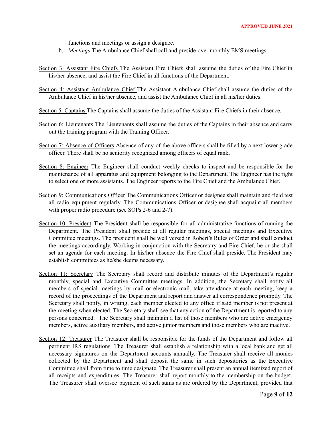functions and meetings or assign a designee.

- h. *Meetings* The Ambulance Chief shall call and preside over monthly EMS meetings.
- Section 3: Assistant Fire Chiefs The Assistant Fire Chiefs shall assume the duties of the Fire Chief in his/her absence, and assist the Fire Chief in all functions of the Department.
- Section 4: Assistant Ambulance Chief The Assistant Ambulance Chief shall assume the duties of the Ambulance Chief in his/her absence, and assist the Ambulance Chief in all his/her duties.
- Section 5: Captains The Captains shall assume the duties of the Assistant Fire Chiefs in their absence.
- Section 6: Lieutenants The Lieutenants shall assume the duties of the Captains in their absence and carry out the training program with the Training Officer.
- Section 7: Absence of Officers Absence of any of the above officers shall be filled by a next lower grade officer. There shall be no seniority recognized among officers of equal rank.
- Section 8: Engineer The Engineer shall conduct weekly checks to inspect and be responsible for the maintenance of all apparatus and equipment belonging to the Department. The Engineer has the right to select one or more assistants. The Engineer reports to the Fire Chief and the Ambulance Chief.
- Section 9: Communications Officer The Communications Officer or designee shall maintain and field test all radio equipment regularly. The Communications Officer or designee shall acquaint all members with proper radio procedure (see SOPs 2-6 and 2-7).
- Section 10: President The President shall be responsible for all administrative functions of running the Department. The President shall preside at all regular meetings, special meetings and Executive Committee meetings. The president shall be well versed in Robert's Rules of Order and shall conduct the meetings accordingly. Working in conjunction with the Secretary and Fire Chief, he or she shall set an agenda for each meeting. In his/her absence the Fire Chief shall preside. The President may establish committees as he/she deems necessary.
- Section 11: Secretary The Secretary shall record and distribute minutes of the Department's regular monthly, special and Executive Committee meetings. In addition, the Secretary shall notify all members of special meetings by mail or electronic mail, take attendance at each meeting, keep a record of the proceedings of the Department and report and answer all correspondence promptly. The Secretary shall notify, in writing, each member elected to any office if said member is not present at the meeting when elected. The Secretary shall see that any action of the Department is reported to any persons concerned. The Secretary shall maintain a list of those members who are active emergency members, active auxiliary members, and active junior members and those members who are inactive.
- Section 12: Treasurer The Treasurer shall be responsible for the funds of the Department and follow all pertinent IRS regulations. The Treasurer shall establish a relationship with a local bank and get all necessary signatures on the Department accounts annually. The Treasurer shall receive all monies collected by the Department and shall deposit the same in such depositories as the Executive Committee shall from time to time designate. The Treasurer shall present an annual itemized report of all receipts and expenditures. The Treasurer shall report monthly to the membership on the budget. The Treasurer shall oversee payment of such sums as are ordered by the Department, provided that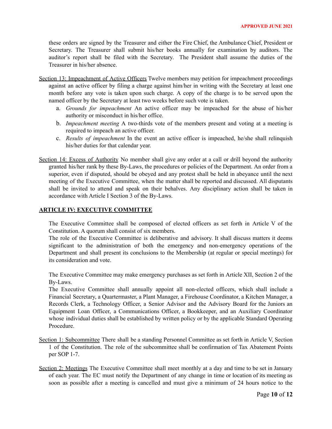these orders are signed by the Treasurer and either the Fire Chief, the Ambulance Chief, President or Secretary. The Treasurer shall submit his/her books annually for examination by auditors. The auditor's report shall be filed with the Secretary. The President shall assume the duties of the Treasurer in his/her absence.

- Section 13: Impeachment of Active Officers Twelve members may petition for impeachment proceedings against an active officer by filing a charge against him/her in writing with the Secretary at least one month before any vote is taken upon such charge. A copy of the charge is to be served upon the named officer by the Secretary at least two weeks before such vote is taken.
	- a. *Grounds for impeachment* An active officer may be impeached for the abuse of his/her authority or misconduct in his/her office.
	- b. *Impeachment meeting* A two-thirds vote of the members present and voting at a meeting is required to impeach an active officer.
	- c. *Results of impeachment* In the event an active officer is impeached, he/she shall relinquish his/her duties for that calendar year.
- Section 14: Excess of Authority No member shall give any order at a call or drill beyond the authority granted his/her rank by these By-Laws, the procedures or policies of the Department. An order from a superior, even if disputed, should be obeyed and any protest shall be held in abeyance until the next meeting of the Executive Committee, when the matter shall be reported and discussed. All disputants shall be invited to attend and speak on their behalves. Any disciplinary action shall be taken in accordance with Article I Section 3 of the By-Laws.

## **ARTICLE IV: EXECUTIVE COMMITTEE**

The Executive Committee shall be composed of elected officers as set forth in Article V of the Constitution. A quorum shall consist of six members.

The role of the Executive Committee is deliberative and advisory. It shall discuss matters it deems significant to the administration of both the emergency and non-emergency operations of the Department and shall present its conclusions to the Membership (at regular or special meetings) for its consideration and vote.

The Executive Committee may make emergency purchases as set forth in Article XII, Section 2 of the By-Laws.

The Executive Committee shall annually appoint all non-elected officers, which shall include a Financial Secretary, a Quartermaster, a Plant Manager, a Firehouse Coordinator, a Kitchen Manager, a Records Clerk, a Technology Officer, a Senior Advisor and the Advisory Board for the Juniors an Equipment Loan Officer, a Communications Officer, a Bookkeeper, and an Auxiliary Coordinator whose individual duties shall be established by written policy or by the applicable Standard Operating Procedure.

- Section 1: Subcommittee There shall be a standing Personnel Committee as set forth in Article V, Section 1 of the Constitution. The role of the subcommittee shall be confirmation of Tax Abatement Points per SOP 1-7.
- Section 2: Meetings The Executive Committee shall meet monthly at a day and time to be set in January of each year. The EC must notify the Department of any change in time or location of its meeting as soon as possible after a meeting is cancelled and must give a minimum of 24 hours notice to the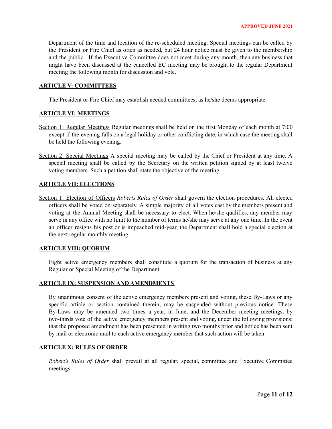Department of the time and location of the re-scheduled meeting. Special meetings can be called by the President or Fire Chief as often as needed, but 24 hour notice must be given to the membership and the public. If the Executive Committee does not meet during any month, then any business that might have been discussed at the cancelled EC meeting may be brought to the regular Department meeting the following month for discussion and vote.

### **ARTICLE V: COMMITTEES**

The President or Fire Chief may establish needed committees, as he/she deems appropriate.

### **ARTICLE VI: MEETINGS**

- Section 1: Regular Meetings Regular meetings shall be held on the first Monday of each month at 7:00 except if the evening falls on a legal holiday or other conflicting date, in which case the meeting shall be held the following evening.
- Section 2: Special Meetings A special meeting may be called by the Chief or President at any time. A special meeting shall be called by the Secretary on the written petition signed by at least twelve voting members. Such a petition shall state the objective of the meeting.

### **ARTICLE VII: ELECTIONS**

Section 1: Election of Officers *Roberts Rules of Order* shall govern the election procedures. All elected officers shall be voted on separately. A simple majority of all votes cast by the members present and voting at the Annual Meeting shall be necessary to elect. When he/she qualifies, any member may serve in any office with no limit to the number of terms he/she may serve at any one time. In the event an officer resigns his post or is impeached mid-year, the Department shall hold a special election at the next regular monthly meeting.

# **ARTICLE VIII: QUORUM**

Eight active emergency members shall constitute a quorum for the transaction of business at any Regular or Special Meeting of the Department.

#### **ARTICLE IX: SUSPENSION AND AMENDMENTS**

By unanimous consent of the active emergency members present and voting, these By-Laws or any specific article or section contained therein, may be suspended without previous notice. These By-Laws may be amended two times a year, in June, and the December meeting meetings**,** by two-thirds vote of the active emergency members present and voting, under the following provisions: that the proposed amendment has been presented in writing two months prior and notice has been sent by mail or electronic mail to each active emergency member that such action will be taken.

### **ARTICLE X: RULES OF ORDER**

*Robert's Rules of Order* shall prevail at all regular, special, committee and Executive Committee meetings.